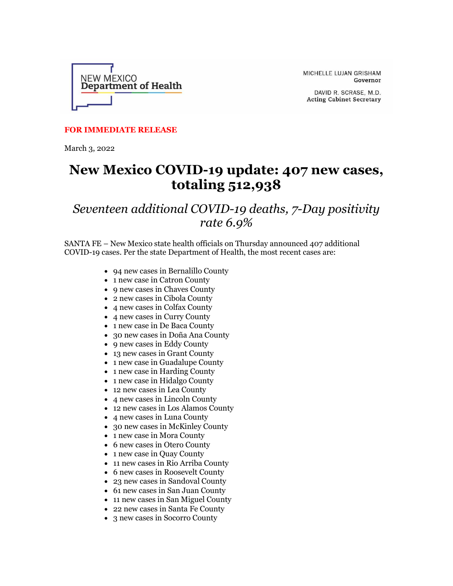

MICHELLE LUJAN GRISHAM Governor

DAVID R. SCRASE, M.D. **Acting Cabinet Secretary** 

## **FOR IMMEDIATE RELEASE**

March 3, 2022

## **New Mexico COVID-19 update: 407 new cases, totaling 512,938**

## *Seventeen additional COVID-19 deaths, 7-Day positivity rate 6.9%*

SANTA FE – New Mexico state health officials on Thursday announced 407 additional COVID-19 cases. Per the state Department of Health, the most recent cases are:

- 94 new cases in Bernalillo County
- 1 new case in Catron County
- 9 new cases in Chaves County
- 2 new cases in Cibola County
- 4 new cases in Colfax County
- 4 new cases in Curry County
- 1 new case in De Baca County
- 30 new cases in Doña Ana County
- 9 new cases in Eddy County
- 13 new cases in Grant County
- 1 new case in Guadalupe County
- 1 new case in Harding County
- 1 new case in Hidalgo County
- 12 new cases in Lea County
- 4 new cases in Lincoln County
- 12 new cases in Los Alamos County
- 4 new cases in Luna County
- 30 new cases in McKinley County
- 1 new case in Mora County
- 6 new cases in Otero County
- 1 new case in Quay County
- 11 new cases in Rio Arriba County
- 6 new cases in Roosevelt County
- 23 new cases in Sandoval County
- 61 new cases in San Juan County
- 11 new cases in San Miguel County
- 22 new cases in Santa Fe County
- 3 new cases in Socorro County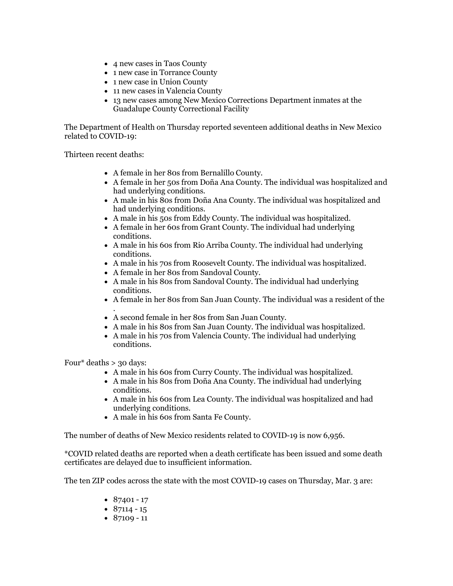- 4 new cases in Taos County
- 1 new case in Torrance County
- 1 new case in Union County
- 11 new cases in Valencia County
- 13 new cases among New Mexico Corrections Department inmates at the Guadalupe County Correctional Facility

The Department of Health on Thursday reported seventeen additional deaths in New Mexico related to COVID-19:

Thirteen recent deaths:

- A female in her 80s from Bernalillo County.
- A female in her 50s from Doña Ana County. The individual was hospitalized and had underlying conditions.
- A male in his 80s from Doña Ana County. The individual was hospitalized and had underlying conditions.
- A male in his 50s from Eddy County. The individual was hospitalized.
- A female in her 60s from Grant County. The individual had underlying conditions.
- A male in his 60s from Rio Arriba County. The individual had underlying conditions.
- A male in his 70s from Roosevelt County. The individual was hospitalized.
- A female in her 80s from Sandoval County.
- A male in his 80s from Sandoval County. The individual had underlying conditions.
- A female in her 80s from San Juan County. The individual was a resident of the
- . • A second female in her 80s from San Juan County.
- A male in his 80s from San Juan County. The individual was hospitalized.
- A male in his 70s from Valencia County. The individual had underlying conditions.

Four\* deaths  $> 30$  days:

- A male in his 60s from Curry County. The individual was hospitalized.
- A male in his 80s from Doña Ana County. The individual had underlying conditions.
- A male in his 60s from Lea County. The individual was hospitalized and had underlying conditions.
- A male in his 60s from Santa Fe County.

The number of deaths of New Mexico residents related to COVID-19 is now 6,956.

\*COVID related deaths are reported when a death certificate has been issued and some death certificates are delayed due to insufficient information.

The ten ZIP codes across the state with the most COVID-19 cases on Thursday, Mar. 3 are:

- $87401 17$
- $87114 15$
- $87109 11$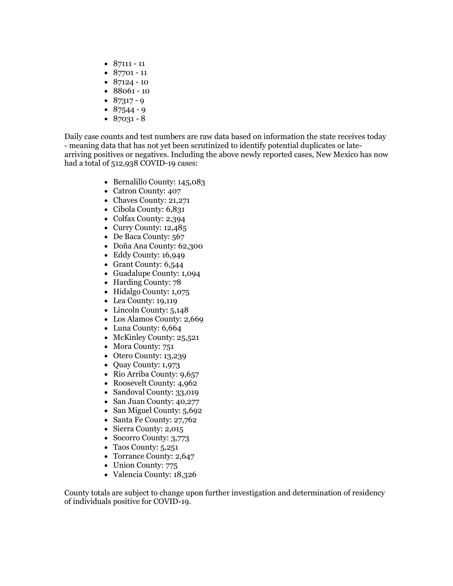- $87111 11$
- 87701 11
- $87124 10$
- 88061 10
- $87317 9$
- $87544 9$
- $87031 8$

Daily case counts and test numbers are raw data based on information the state receives today - meaning data that has not yet been scrutinized to identify potential duplicates or latearriving positives or negatives. Including the above newly reported cases, New Mexico has now had a total of 512,938 COVID-19 cases:

- Bernalillo County: 145,083
- Catron County: 407
- Chaves County: 21,271
- Cibola County: 6,831
- Colfax County: 2,394
- Curry County: 12,485
- De Baca County: 567
- Doña Ana County: 62,300
- Eddy County: 16,949
- Grant County: 6,544
- Guadalupe County: 1,094
- Harding County: 78
- Hidalgo County: 1,075
- Lea County: 19,119
- Lincoln County: 5,148
- Los Alamos County: 2,669
- Luna County: 6,664
- McKinley County: 25,521
- Mora County: 751
- Otero County: 13,239
- Quay County: 1,973
- Rio Arriba County: 9,657
- Roosevelt County: 4,962
- Sandoval County: 33,019
- San Juan County: 40,277
- San Miguel County: 5,692
- Santa Fe County: 27,762
- Sierra County: 2,015
- Socorro County: 3,773
- Taos County: 5,251
- Torrance County: 2,647
- Union County: 775
- Valencia County: 18,326

County totals are subject to change upon further investigation and determination of residency of individuals positive for COVID-19.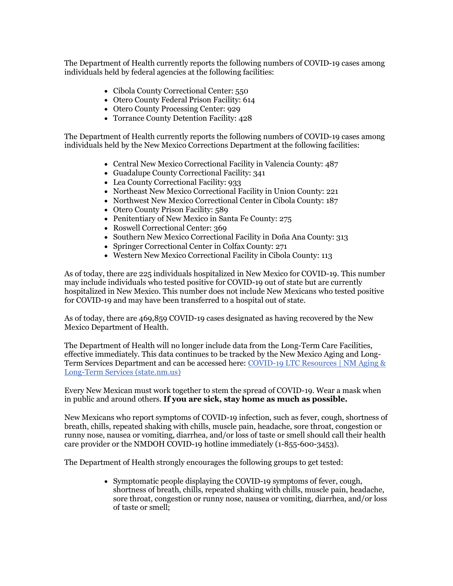The Department of Health currently reports the following numbers of COVID-19 cases among individuals held by federal agencies at the following facilities:

- Cibola County Correctional Center: 550
- Otero County Federal Prison Facility: 614
- Otero County Processing Center: 929
- Torrance County Detention Facility: 428

The Department of Health currently reports the following numbers of COVID-19 cases among individuals held by the New Mexico Corrections Department at the following facilities:

- Central New Mexico Correctional Facility in Valencia County: 487
- Guadalupe County Correctional Facility: 341
- Lea County Correctional Facility: 933
- Northeast New Mexico Correctional Facility in Union County: 221
- Northwest New Mexico Correctional Center in Cibola County: 187
- Otero County Prison Facility: 589
- Penitentiary of New Mexico in Santa Fe County: 275
- Roswell Correctional Center: 369
- Southern New Mexico Correctional Facility in Doña Ana County: 313
- Springer Correctional Center in Colfax County: 271
- Western New Mexico Correctional Facility in Cibola County: 113

As of today, there are 225 individuals hospitalized in New Mexico for COVID-19. This number may include individuals who tested positive for COVID-19 out of state but are currently hospitalized in New Mexico. This number does not include New Mexicans who tested positive for COVID-19 and may have been transferred to a hospital out of state.

As of today, there are 469,859 COVID-19 cases designated as having recovered by the New Mexico Department of Health.

The Department of Health will no longer include data from the Long-Term Care Facilities, effective immediately. This data continues to be tracked by the New Mexico Aging and Long-Term Services Department and can be accessed here: [COVID-19 LTC Resources | NM Aging &](https://r20.rs6.net/tn.jsp?f=001dQv5-6dSlUeU56VYHrbU3jY48GhyhxPB9hO4Y7LJami09-u6EPev1Jro30slSO4OIdngrNPjyWzD4SmPvLleW2EV6YxL7B0ypF6NAhyIQGtrI2uzhOcXF8lMO55HnLpB8zbjfc_3LGSDoWpxCVRrz3o1uU94qXywrUUybxl7yompXdQzHlq2oakunNuuVM1P_GfSNIIPFEz4DlAswDGMr8bcC2OaQgOqowmsClQu879QqmbkMFqCKQ==&c=LyKn9iv-X3kyYFvMG7FnCS8UXSixrsq4-vfVwhC6iOglRjX2AzizrA==&ch=TxKtg6vqVwjEtWzNEgzHXv526oB_fUDshpXIktlxFgbKmzzRBK-epQ==)  [Long-Term Services \(state.nm.us\)](https://r20.rs6.net/tn.jsp?f=001dQv5-6dSlUeU56VYHrbU3jY48GhyhxPB9hO4Y7LJami09-u6EPev1Jro30slSO4OIdngrNPjyWzD4SmPvLleW2EV6YxL7B0ypF6NAhyIQGtrI2uzhOcXF8lMO55HnLpB8zbjfc_3LGSDoWpxCVRrz3o1uU94qXywrUUybxl7yompXdQzHlq2oakunNuuVM1P_GfSNIIPFEz4DlAswDGMr8bcC2OaQgOqowmsClQu879QqmbkMFqCKQ==&c=LyKn9iv-X3kyYFvMG7FnCS8UXSixrsq4-vfVwhC6iOglRjX2AzizrA==&ch=TxKtg6vqVwjEtWzNEgzHXv526oB_fUDshpXIktlxFgbKmzzRBK-epQ==)

Every New Mexican must work together to stem the spread of COVID-19. Wear a mask when in public and around others. **If you are sick, stay home as much as possible.**

New Mexicans who report symptoms of COVID-19 infection, such as fever, cough, shortness of breath, chills, repeated shaking with chills, muscle pain, headache, sore throat, congestion or runny nose, nausea or vomiting, diarrhea, and/or loss of taste or smell should call their health care provider or the NMDOH COVID-19 hotline immediately (1-855-600-3453).

The Department of Health strongly encourages the following groups to get tested:

• Symptomatic people displaying the COVID-19 symptoms of fever, cough, shortness of breath, chills, repeated shaking with chills, muscle pain, headache, sore throat, congestion or runny nose, nausea or vomiting, diarrhea, and/or loss of taste or smell;